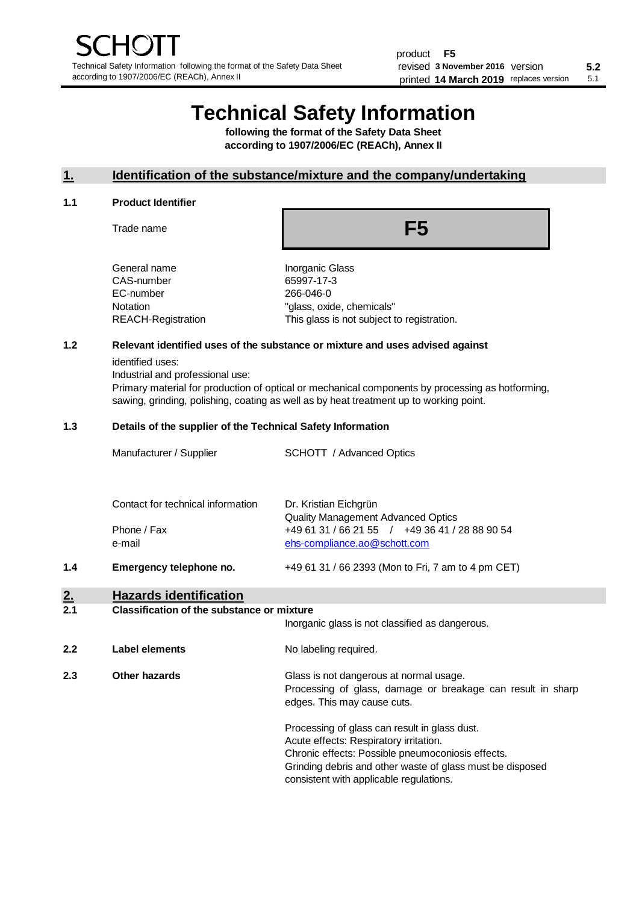# **Technical Safety Information**

**following the format of the Safety Data Sheet according to 1907/2006/EC (REACh), Annex II**

# **1. Identification of the substance/mixture and the company/undertaking**

#### **1.1 Product Identifier**

Trade name

**F5**

| General name       |
|--------------------|
| CAS-number         |
| EC-number          |
| Notation           |
| REACH-Registration |
|                    |

**Inorganic Glass** 65997-17-3 266-046-0 "glass, oxide, chemicals" This glass is not subject to registration.

# **1.2 Relevant identified uses of the substance or mixture and uses advised against**

identified uses:

Industrial and professional use:

Primary material for production of optical or mechanical components by processing as hotforming, sawing, grinding, polishing, coating as well as by heat treatment up to working point.

### **1.3 Details of the supplier of the Technical Safety Information**

| າ   | Hazarde identification            |                                                                                |
|-----|-----------------------------------|--------------------------------------------------------------------------------|
| 1.4 | Emergency telephone no.           | +49 61 31 / 66 2393 (Mon to Fri, 7 am to 4 pm CET)                             |
|     | Phone / Fax<br>e-mail             | +49 61 31 / 66 21 55 / +49 36 41 / 28 88 90 54<br>ehs-compliance.ao@schott.com |
|     | Contact for technical information | Dr. Kristian Eichgrün<br><b>Quality Management Advanced Optics</b>             |
|     | Manufacturer / Supplier           | SCHOTT / Advanced Optics                                                       |

#### **2. Hazards identification 2.1 Classification of the substance or mixture**

|     |                | Inorganic glass is not classified as dangerous.                                                                                                                                                                                                      |
|-----|----------------|------------------------------------------------------------------------------------------------------------------------------------------------------------------------------------------------------------------------------------------------------|
| 2.2 | Label elements | No labeling required.                                                                                                                                                                                                                                |
| 2.3 | Other hazards  | Glass is not dangerous at normal usage.<br>Processing of glass, damage or breakage can result in sharp<br>edges. This may cause cuts.                                                                                                                |
|     |                | Processing of glass can result in glass dust.<br>Acute effects: Respiratory irritation.<br>Chronic effects: Possible pneumoconiosis effects.<br>Grinding debris and other waste of glass must be disposed<br>consistent with applicable regulations. |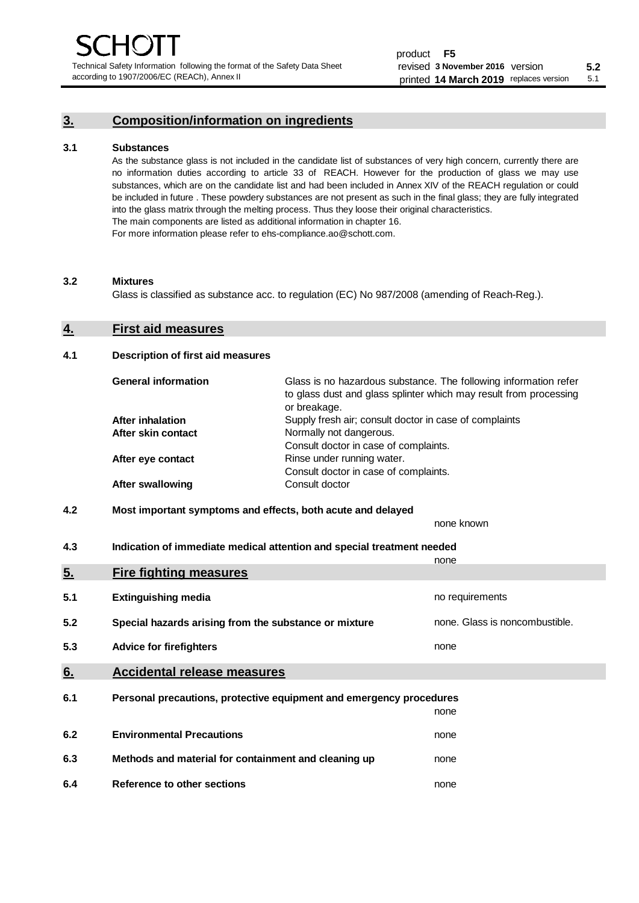Technical Safety Information following the format of the Safety Data Sheet according to 1907/2006/EC (REACh), Annex II

# **3. Composition/information on ingredients**

# **3.1 Substances**

As the substance glass is not included in the candidate list of substances of very high concern, currently there are no information duties according to article 33 of REACH. However for the production of glass we may use substances, which are on the candidate list and had been included in Annex XIV of the REACH regulation or could be included in future . These powdery substances are not present as such in the final glass; they are fully integrated into the glass matrix through the melting process. Thus they loose their original characteristics. The main components are listed as additional information in chapter 16. For more information please refer to ehs-compliance.ao@schott.com.

#### **3.2 Mixtures**

Glass is classified as substance acc. to regulation (EC) No 987/2008 (amending of Reach-Reg.).

# **4. First aid measures**

# **4.1 Description of first aid measures**

| <b>General information</b> | Glass is no hazardous substance. The following information refer<br>to glass dust and glass splinter which may result from processing<br>or breakage. |
|----------------------------|-------------------------------------------------------------------------------------------------------------------------------------------------------|
| <b>After inhalation</b>    | Supply fresh air; consult doctor in case of complaints                                                                                                |
| After skin contact         | Normally not dangerous.                                                                                                                               |
|                            | Consult doctor in case of complaints.                                                                                                                 |
| After eye contact          | Rinse under running water.                                                                                                                            |
|                            | Consult doctor in case of complaints.                                                                                                                 |
| <b>After swallowing</b>    | Consult doctor                                                                                                                                        |

# **4.2 Most important symptoms and effects, both acute and delayed**

none known **4.3 Indication of immediate medical attention and special treatment needed** 

|     |                                                                     | none                           |
|-----|---------------------------------------------------------------------|--------------------------------|
| 5.  | <b>Fire fighting measures</b>                                       |                                |
| 5.1 | <b>Extinguishing media</b>                                          | no requirements                |
| 5.2 | Special hazards arising from the substance or mixture               | none. Glass is noncombustible. |
| 5.3 | <b>Advice for firefighters</b>                                      | none                           |
| 6.  | <b>Accidental release measures</b>                                  |                                |
| 6.1 | Personal precautions, protective equipment and emergency procedures |                                |
|     |                                                                     | none                           |
| 6.2 | <b>Environmental Precautions</b>                                    | none                           |
| 6.3 | Methods and material for containment and cleaning up                | none                           |
| 6.4 | Reference to other sections                                         | none                           |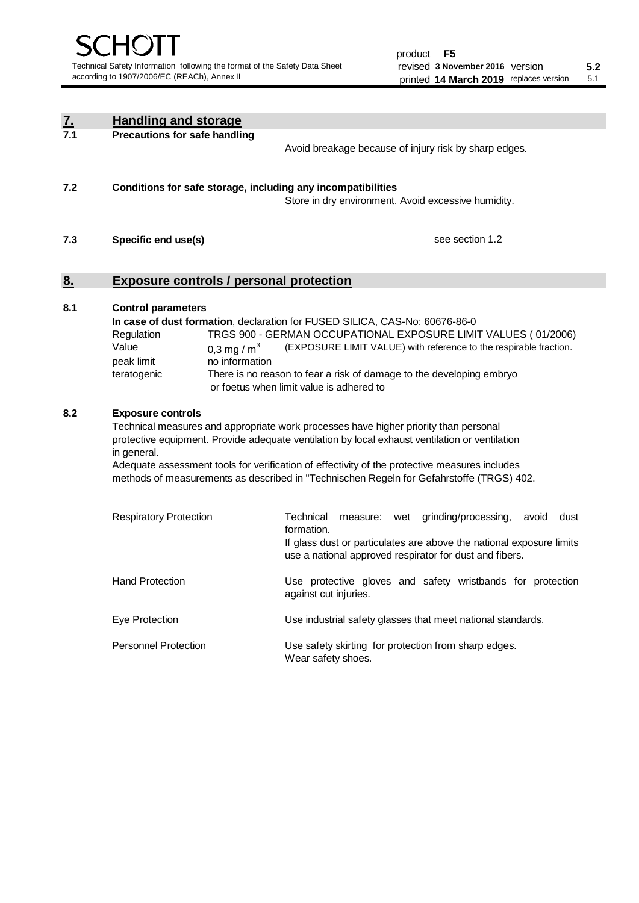| <u>7.</u> | <b>Handling and storage</b>                                                                                                                                                                                                                                                                                                                                                                                                                                |                                                                                                                                                                                                                                                                                                                                                                                     |  |  |  |
|-----------|------------------------------------------------------------------------------------------------------------------------------------------------------------------------------------------------------------------------------------------------------------------------------------------------------------------------------------------------------------------------------------------------------------------------------------------------------------|-------------------------------------------------------------------------------------------------------------------------------------------------------------------------------------------------------------------------------------------------------------------------------------------------------------------------------------------------------------------------------------|--|--|--|
| 7.1       | <b>Precautions for safe handling</b>                                                                                                                                                                                                                                                                                                                                                                                                                       | Avoid breakage because of injury risk by sharp edges.                                                                                                                                                                                                                                                                                                                               |  |  |  |
| 7.2       | Conditions for safe storage, including any incompatibilities                                                                                                                                                                                                                                                                                                                                                                                               | Store in dry environment. Avoid excessive humidity.                                                                                                                                                                                                                                                                                                                                 |  |  |  |
| 7.3       | Specific end use(s)                                                                                                                                                                                                                                                                                                                                                                                                                                        | see section 1.2                                                                                                                                                                                                                                                                                                                                                                     |  |  |  |
| 8.        | <b>Exposure controls / personal protection</b>                                                                                                                                                                                                                                                                                                                                                                                                             |                                                                                                                                                                                                                                                                                                                                                                                     |  |  |  |
| 8.1       | <b>Control parameters</b><br>In case of dust formation, declaration for FUSED SILICA, CAS-No: 60676-86-0<br>TRGS 900 - GERMAN OCCUPATIONAL EXPOSURE LIMIT VALUES (01/2006)<br>Regulation<br>Value<br>(EXPOSURE LIMIT VALUE) with reference to the respirable fraction.<br>0,3 mg / $m3$<br>no information<br>peak limit<br>teratogenic<br>There is no reason to fear a risk of damage to the developing embryo<br>or foetus when limit value is adhered to |                                                                                                                                                                                                                                                                                                                                                                                     |  |  |  |
| 8.2       | <b>Exposure controls</b><br>in general.                                                                                                                                                                                                                                                                                                                                                                                                                    | Technical measures and appropriate work processes have higher priority than personal<br>protective equipment. Provide adequate ventilation by local exhaust ventilation or ventilation<br>Adequate assessment tools for verification of effectivity of the protective measures includes<br>methods of measurements as described in "Technischen Regeln for Gefahrstoffe (TRGS) 402. |  |  |  |
|           | <b>Respiratory Protection</b>                                                                                                                                                                                                                                                                                                                                                                                                                              | Technical<br>grinding/processing,<br>dust<br>measure: wet<br>avoid<br>formation.<br>If glass dust or particulates are above the national exposure limits<br>use a national approved respirator for dust and fibers.                                                                                                                                                                 |  |  |  |
|           | <b>Hand Protection</b>                                                                                                                                                                                                                                                                                                                                                                                                                                     | Use protective gloves and safety wristbands for protection<br>against cut injuries.                                                                                                                                                                                                                                                                                                 |  |  |  |
|           | Eye Protection                                                                                                                                                                                                                                                                                                                                                                                                                                             | Use industrial safety glasses that meet national standards.                                                                                                                                                                                                                                                                                                                         |  |  |  |
|           | <b>Personnel Protection</b>                                                                                                                                                                                                                                                                                                                                                                                                                                | Use safety skirting for protection from sharp edges.<br>Wear safety shoes.                                                                                                                                                                                                                                                                                                          |  |  |  |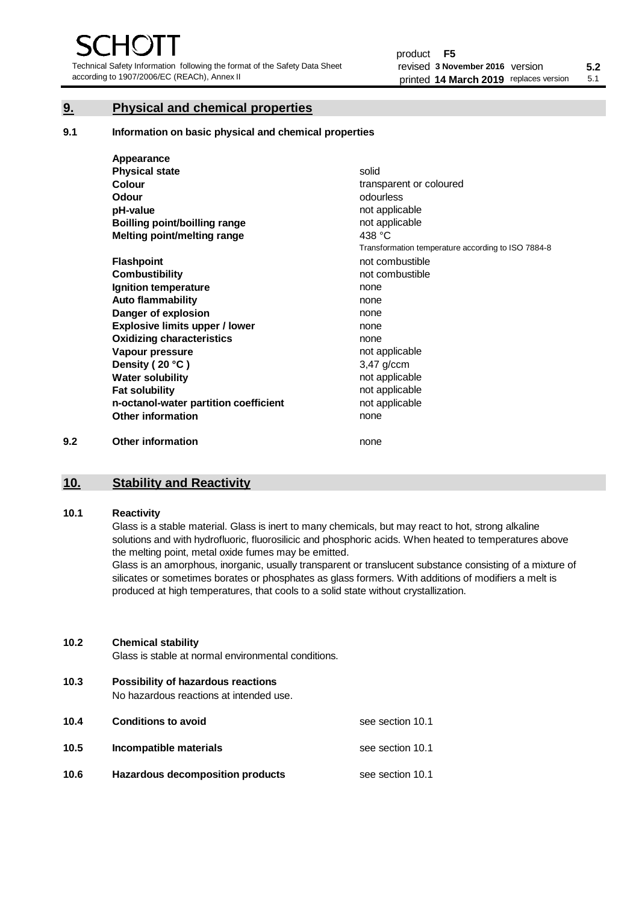Technical Safety Information following the format of the Safety Data Sheet according to 1907/2006/EC (REACh), Annex II

# **9. Physical and chemical properties**

**9.1 Information on basic physical and chemical properties**

|     | Appearance                            |                                                    |
|-----|---------------------------------------|----------------------------------------------------|
|     | <b>Physical state</b>                 | solid                                              |
|     | Colour                                | transparent or coloured                            |
|     | Odour                                 | odourless                                          |
|     | pH-value                              | not applicable                                     |
|     | <b>Boilling point/boilling range</b>  | not applicable                                     |
|     | Melting point/melting range           | 438 $°C$                                           |
|     |                                       | Transformation temperature according to ISO 7884-8 |
|     | <b>Flashpoint</b>                     | not combustible                                    |
|     | <b>Combustibility</b>                 | not combustible                                    |
|     | Ignition temperature                  | none                                               |
|     | <b>Auto flammability</b>              | none                                               |
|     | Danger of explosion                   | none                                               |
|     | <b>Explosive limits upper / lower</b> | none                                               |
|     | <b>Oxidizing characteristics</b>      | none                                               |
|     | Vapour pressure                       | not applicable                                     |
|     | Density (20 °C)                       | $3,47$ g/ccm                                       |
|     | <b>Water solubility</b>               | not applicable                                     |
|     | <b>Fat solubility</b>                 | not applicable                                     |
|     | n-octanol-water partition coefficient | not applicable                                     |
|     | <b>Other information</b>              | none                                               |
| 9.2 | <b>Other information</b>              | none                                               |

# **10. Stability and Reactivity**

### **10.1 Reactivity**

Glass is a stable material. Glass is inert to many chemicals, but may react to hot, strong alkaline solutions and with hydrofluoric, fluorosilicic and phosphoric acids. When heated to temperatures above the melting point, metal oxide fumes may be emitted.

Glass is an amorphous, inorganic, usually transparent or translucent substance consisting of a mixture of silicates or sometimes borates or phosphates as glass formers. With additions of modifiers a melt is produced at high temperatures, that cools to a solid state without crystallization.

# **10.2 Chemical stability**

Glass is stable at normal environmental conditions.

**10.3 Possibility of hazardous reactions** 

No hazardous reactions at intended use.

| 10.4 | <b>Conditions to avoid</b>       | see section 10.1 |
|------|----------------------------------|------------------|
| 10.5 | Incompatible materials           | see section 10.1 |
| 10.6 | Hazardous decomposition products | see section 10.1 |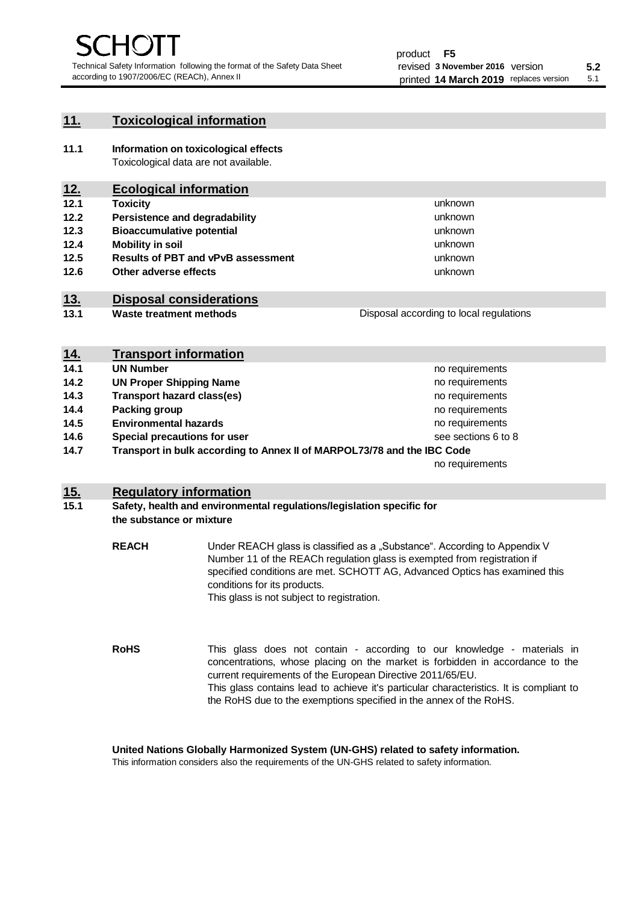unknown unknown unknown

unknown unknown unknown

Disposal according to local regulations

# **11. Toxicological information**

**11.1 Information on toxicological effects** Toxicological data are not available.

# **12. Ecological information**

- **12.1 Toxicity**
- **12.2 Persistence and degradability**
- **12.3 Bioaccumulative potential**
- **12.4 Mobility in soil**
- **12.5 Results of PBT and vPvB assessment**
- **12.6 Other adverse effects**

# **13. Disposal considerations**

**13.1 Waste treatment methods**

| <u>14.</u> | <b>Transport information</b>                                            |                     |
|------------|-------------------------------------------------------------------------|---------------------|
| 14.1       | <b>UN Number</b>                                                        | no requirements     |
| 14.2       | <b>UN Proper Shipping Name</b>                                          | no requirements     |
| 14.3       | <b>Transport hazard class(es)</b>                                       | no requirements     |
| 14.4       | Packing group                                                           | no requirements     |
| 14.5       | <b>Environmental hazards</b>                                            | no requirements     |
| 14.6       | Special precautions for user                                            | see sections 6 to 8 |
| 14.7       | Transport in bulk according to Annex II of MARPOL73/78 and the IBC Code |                     |
|            |                                                                         | no requirements     |

# **15. Regulatory information**

# **15.1 Safety, health and environmental regulations/legislation specific for the substance or mixture**

**REACH** Under REACH glass is classified as a "Substance". According to Appendix V Number 11 of the REACh regulation glass is exempted from registration if specified conditions are met. SCHOTT AG, Advanced Optics has examined this conditions for its products. This glass is not subject to registration.

**RoHS** This glass does not contain - according to our knowledge - materials in concentrations, whose placing on the market is forbidden in accordance to the current requirements of the European Directive 2011/65/EU. This glass contains lead to achieve it's particular characteristics. It is compliant to the RoHS due to the exemptions specified in the annex of the RoHS.

**United Nations Globally Harmonized System (UN-GHS) related to safety information.**

This information considers also the requirements of the UN-GHS related to safety information.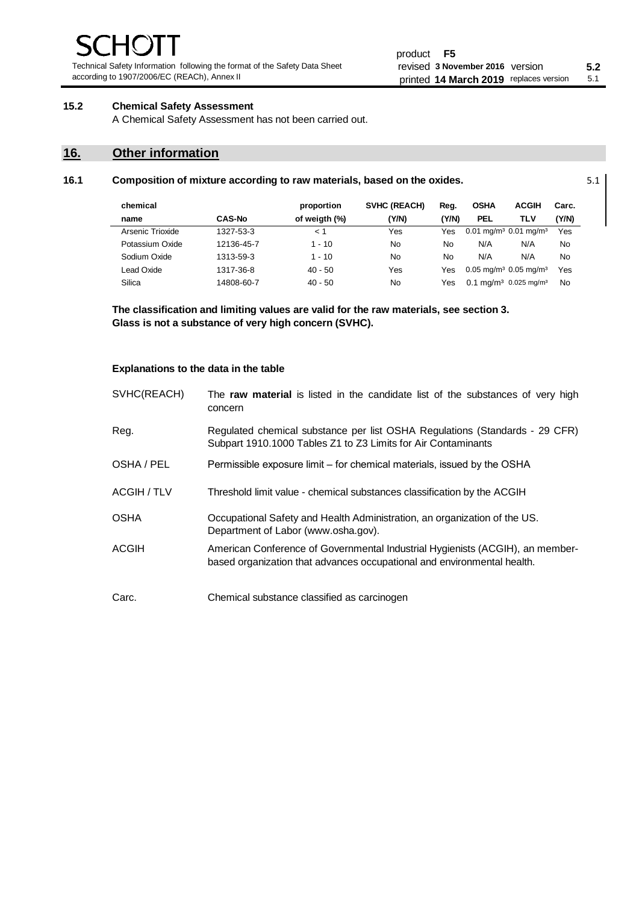Technical Safety Information following the format of the Safety Data Sheet according to 1907/2006/EC (REACh), Annex II

# **15.2 Chemical Safety Assessment**

A Chemical Safety Assessment has not been carried out.

# **16. Other information**

| chemical         |               | proportion    | <b>SVHC (REACH)</b> | Reg.  | <b>OSHA</b> | <b>ACGIH</b>                                    | Carc. |
|------------------|---------------|---------------|---------------------|-------|-------------|-------------------------------------------------|-------|
| name             | <b>CAS-No</b> | of weigth (%) | (Y/N)               | (Y/N) | <b>PEL</b>  | TLV                                             | (Y/N) |
| Arsenic Trioxide | 1327-53-3     | < 1           | Yes                 | Yes   |             | $0.01$ mg/m <sup>3</sup> 0.01 mg/m <sup>3</sup> | Yes   |
| Potassium Oxide  | 12136-45-7    | $1 - 10$      | No                  | No    | N/A         | N/A                                             | No    |
| Sodium Oxide     | 1313-59-3     | $1 - 10$      | No                  | No    | N/A         | N/A                                             | No    |
| Lead Oxide       | 1317-36-8     | $40 - 50$     | Yes                 | Yes   |             | $0.05 \text{ mg/m}^3$ 0.05 mg/m <sup>3</sup>    | Yes   |
| Silica           | 14808-60-7    | $40 - 50$     | No                  | Yes   |             | $0.1 \text{ ma/m}^3$ 0.025 mg/m <sup>3</sup>    | No    |

**16.1 Composition of mixture according to raw materials, based on the oxides.** 5.1

**The classification and limiting values are valid for the raw materials, see section 3. Glass is not a substance of very high concern (SVHC).**

# **Explanations to the data in the table**

| SVHC(REACH) | The raw material is listed in the candidate list of the substances of very high<br>concern                                                               |
|-------------|----------------------------------------------------------------------------------------------------------------------------------------------------------|
| Reg.        | Regulated chemical substance per list OSHA Regulations (Standards - 29 CFR)<br>Subpart 1910.1000 Tables Z1 to Z3 Limits for Air Contaminants             |
| OSHA / PEL  | Permissible exposure limit – for chemical materials, issued by the OSHA                                                                                  |
| ACGIH / TLV | Threshold limit value - chemical substances classification by the ACGIH                                                                                  |
| <b>OSHA</b> | Occupational Safety and Health Administration, an organization of the US.<br>Department of Labor (www.osha.gov).                                         |
| ACGIH       | American Conference of Governmental Industrial Hygienists (ACGIH), an member-<br>based organization that advances occupational and environmental health. |
| Carc.       | Chemical substance classified as carcinogen                                                                                                              |